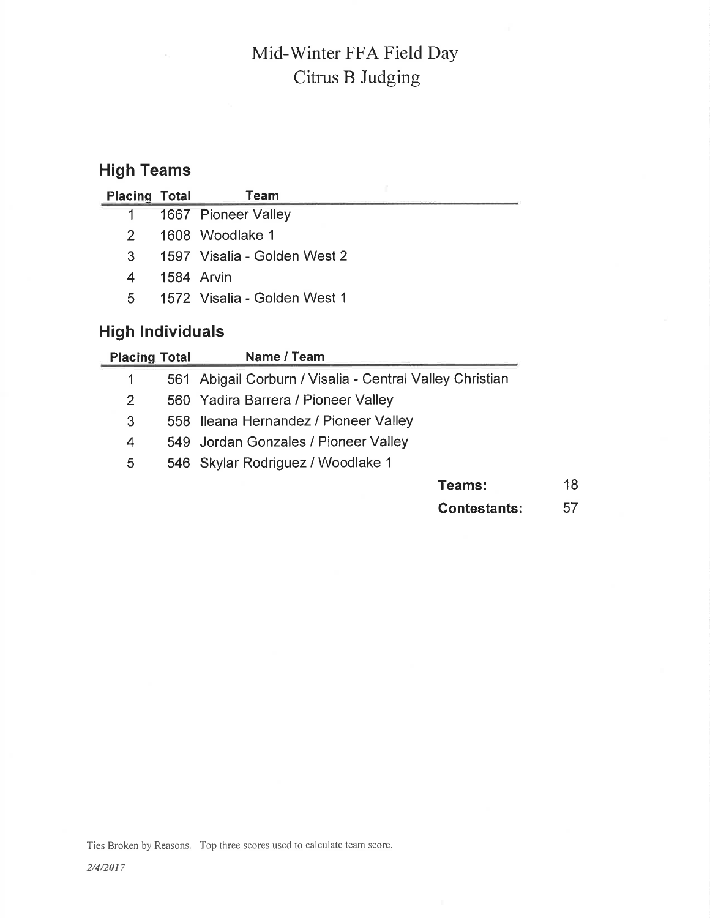# Mid-Winter FFA Field Day Citrus B Judging

## High Teams

| <b>Placing Total</b> | Team                         |
|----------------------|------------------------------|
|                      | 1 1667 Pioneer Valley        |
| $2^{\circ}$          | 1608 Woodlake 1              |
| 3                    | 1597 Visalia - Golden West 2 |
| 4                    | 1584 Arvin                   |
| 5.                   | 1572 Visalia - Golden West 1 |
|                      |                              |

## High lndividuals

|                | <b>Placing Total</b> | Name / Team                                              |    |
|----------------|----------------------|----------------------------------------------------------|----|
|                |                      | 561 Abigail Corburn / Visalia - Central Valley Christian |    |
| $\overline{2}$ |                      | 560 Yadira Barrera / Pioneer Valley                      |    |
| 3              |                      | 558 Ileana Hernandez / Pioneer Valley                    |    |
| 4              |                      | 549 Jordan Gonzales / Pioneer Valley                     |    |
| 5              |                      | 546 Skylar Rodriguez / Woodlake 1                        |    |
|                |                      | <b>Teams:</b>                                            | 18 |
|                |                      | <b>Contestants:</b>                                      | 57 |

Ties Broken by Reasons. Top three scores used to calculate team score.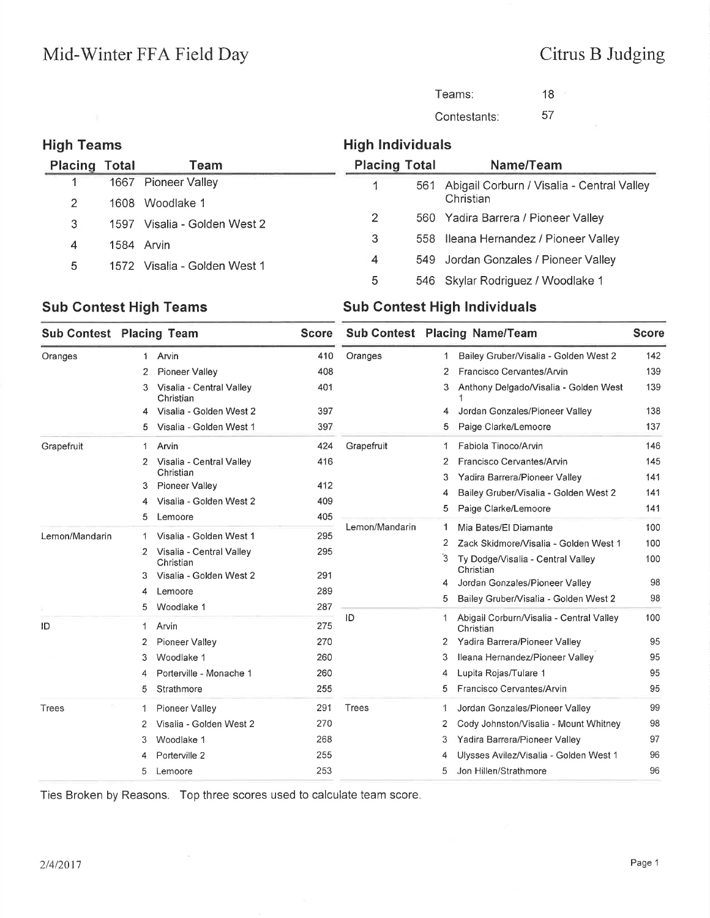### Citrus B Judging

Teams: Contestants: 1B 

#### High Teams High lndividuals Placing Total Name/Team Placing Total Team Pioneer Valley  $\overline{1}$  Abigail Corburn / Visalia - Central Valley Christian 1608 Woodlake 1 Yadira Barrera / Pioneer Valley Visalia - Golden West 2 lleana Hernandez / Pioneer Valley Arvin Jordan Gonzales / Pioneer Valley Visalia - Golden West <sup>1</sup> Skylar Rodriguez / Woodlake <sup>1</sup>

#### Sub Contest High Teams Sub Contest High Individuals

| <b>Sub Contest Placing Team</b> |    |                                       | <b>Score</b> | Sub Contest Placing Name/Team |   | <b>Score</b>                                   |     |
|---------------------------------|----|---------------------------------------|--------------|-------------------------------|---|------------------------------------------------|-----|
| Oranges                         | 1. | Arvin                                 | 410          | Oranges                       | 1 | Bailey Gruber/Visalia - Golden West 2          | 142 |
|                                 | 2  | <b>Pioneer Valley</b>                 | 408          |                               | 2 | Francisco Cervantes/Arvin                      | 139 |
|                                 | 3. | Visalia - Central Valley<br>Christian | 401          |                               | 3 | Anthony Delgado/Visalia - Golden West          | 139 |
|                                 | 4  | Visalia - Golden West 2               | 397          |                               | 4 | Jordan Gonzales/Pioneer Valley                 | 138 |
|                                 | 5  | Visalia - Golden West 1               | 397          |                               | 5 | Paige Clarke/Lemoore                           | 137 |
| Grapefruit                      | 1  | Arvin                                 | 424          | Grapefruit                    | 1 | Fabiola Tinoco/Arvin                           | 146 |
|                                 | 2  | Visalia - Central Valley              | 416          |                               | 2 | Francisco Cervantes/Arvin                      | 145 |
|                                 |    | Christian<br>Pioneer Valley           | 412          |                               | 3 | Yadira Barrera/Pioneer Valley                  | 141 |
|                                 | 3  | Visalia - Golden West 2               | 409          |                               | 4 | Bailey Gruber/Visalia - Golden West 2          | 141 |
|                                 | 4  |                                       | 405          |                               | 5 | Paige Clarke/Lemoore                           | 141 |
|                                 | 5  | Lemoore                               |              | Lemon/Mandarin                | 1 | Mia Bates/El Diamante                          | 100 |
| Lemon/Mandarin                  | 1  | Visalia - Golden West 1               | 295          |                               | 2 | Zack Skidmore/Visalia - Golden West 1          | 100 |
|                                 | 2  | Visalia - Central Valley<br>Christian | 295          |                               | 3 | Ty Dodge/Visalia - Central Valley<br>Christian | 100 |
|                                 | 3  | Visalia - Golden West 2               | 291          |                               | 4 | Jordan Gonzales/Pioneer Valley                 | 98  |
|                                 | 4  | Lemoore                               | 289          |                               | 5 | Bailey Gruber/Visalia - Golden West 2          | 98  |
|                                 | 5  | Woodlake 1                            | 287          | ID                            |   | Abigail Corburn/Visalia - Central Valley       | 100 |
| ID                              | 1  | Arvin                                 | 275          |                               |   | Christian                                      |     |
|                                 | 2  | Pioneer Valley                        | 270          |                               | 2 | Yadira Barrera/Pioneer Valley                  | 95  |
|                                 | 3  | Woodlake 1                            | 260          |                               | 3 | Ileana Hernandez/Pioneer Valley                | 95  |
|                                 | 4  | Porterville - Monache 1               | 260          |                               | 4 | Lupita Rojas/Tulare 1                          | 95  |
|                                 | 5  | Strathmore                            | 255          |                               | 5 | Francisco Cervantes/Arvin                      | 95  |
| <b>Trees</b>                    | -1 | Pioneer Valley                        | 291          | <b>Trees</b>                  | 1 | Jordan Gonzales/Pioneer Valley                 | 99  |
|                                 | 2  | Visalia - Golden West 2               | 270          |                               | 2 | Cody Johnston/Visalia - Mount Whitney          | 98  |
|                                 | 3  | Woodlake 1                            | 268          |                               | 3 | Yadira Barrera/Pioneer Valley                  | 97  |
|                                 |    | Porterville 2                         | 255          |                               | 4 | Ulysses Avilez/Visalia - Golden West 1         | 96  |
|                                 | 5  | Lemoore                               | 253          |                               | 5 | Jon Hillen/Strathmore                          | 96  |

Ties Broken by Reasons, Top three scores used to calculate team score.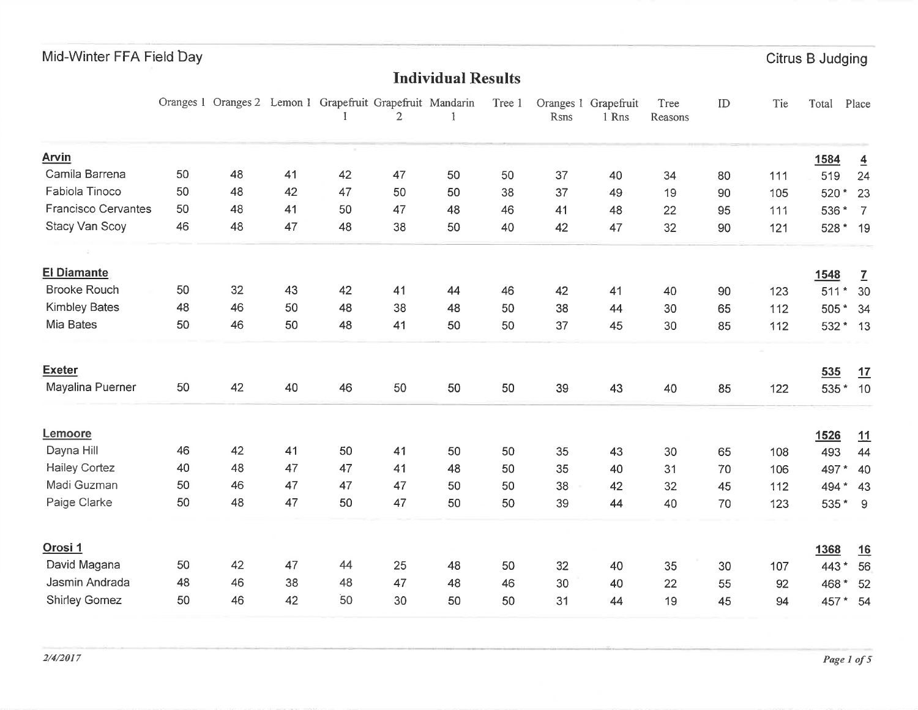Citrus B Judging

#### Individual Results

|                            |    | Oranges 1 Oranges 2 Lemon 1 Grapefruit Grapefruit Mandarin |    |    | 2  |    | Tree 1 | Rsns | Oranges 1 Grapefruit<br>1 Rns | Tree<br>Reasons | ID | Tie | Total                  | Place                |
|----------------------------|----|------------------------------------------------------------|----|----|----|----|--------|------|-------------------------------|-----------------|----|-----|------------------------|----------------------|
| <b>Arvin</b>               |    |                                                            |    |    |    |    |        |      |                               |                 |    |     | 1584                   | $\overline{4}$       |
| Camila Barrena             | 50 | 48                                                         | 41 | 42 | 47 | 50 | 50     | 37   | 40                            | 34              | 80 | 111 | 519                    | 24                   |
| Fabiola Tinoco             | 50 | 48                                                         | 42 | 47 | 50 | 50 | 38     | 37   | 49                            | 19              | 90 | 105 | 520*                   | 23                   |
| <b>Francisco Cervantes</b> | 50 | 48                                                         | 41 | 50 | 47 | 48 | 46     | 41   | 48                            | 22              | 95 | 111 | 536 *                  | $\overline{7}$       |
| Stacy Van Scoy             | 46 | 48                                                         | 47 | 48 | 38 | 50 | 40     | 42   | 47                            | 32              | 90 | 121 | 528 * 19               |                      |
| <b>El Diamante</b>         |    |                                                            |    |    |    |    |        |      |                               |                 |    |     |                        |                      |
| <b>Brooke Rouch</b>        | 50 | 32                                                         | 43 | 42 | 41 | 44 | 46     | 42   | 41                            | 40              | 90 | 123 | 1548<br>511<br>$\star$ | $\overline{1}$<br>30 |
| <b>Kimbley Bates</b>       | 48 | 46                                                         | 50 | 48 | 38 | 48 | 50     | 38   | 44                            | 30              | 65 | 112 | 505 * 34               |                      |
| Mia Bates                  | 50 | 46                                                         | 50 | 48 | 41 | 50 | 50     | 37   | 45                            | 30              | 85 | 112 | 532 * 13               |                      |
|                            |    |                                                            |    |    |    |    |        |      |                               |                 |    |     |                        |                      |
| <b>Exeter</b>              |    |                                                            |    |    |    |    |        |      |                               |                 |    |     | 535                    | 17                   |
| Mayalina Puerner           | 50 | 42                                                         | 40 | 46 | 50 | 50 | 50     | 39   | 43                            | 40              | 85 | 122 | 535 * 10               |                      |
| Lemoore                    |    |                                                            |    |    |    |    |        |      |                               |                 |    |     | <u>1526</u>            | 11                   |
| Dayna Hill                 | 46 | 42                                                         | 41 | 50 | 41 | 50 | 50     | 35   | 43                            | 30              | 65 | 108 | 493                    | 44                   |
| <b>Hailey Cortez</b>       | 40 | 48                                                         | 47 | 47 | 41 | 48 | 50     | 35   | 40                            | 31              | 70 | 106 | 497*                   | 40                   |
| Madi Guzman                | 50 | 46                                                         | 47 | 47 | 47 | 50 | 50     | 38   | 42                            | 32              | 45 | 112 | 494                    | $\star$ 43           |
| Paige Clarke               | 50 | 48                                                         | 47 | 50 | 47 | 50 | 50     | 39   | 44                            | 40              | 70 | 123 | 535* 9                 |                      |
| Orosi 1                    |    |                                                            |    |    |    |    |        |      |                               |                 |    |     | 1368                   | 16                   |
| David Magana               | 50 | 42                                                         | 47 | 44 | 25 | 48 | 50     | 32   | 40                            | 35              | 30 | 107 | 443 *                  | 56                   |
| Jasmin Andrada             | 48 | 46                                                         | 38 | 48 | 47 | 48 | 46     | 30   | 40                            | 22              | 55 | 92  | 468 * 52               |                      |
| <b>Shirley Gomez</b>       | 50 | 46                                                         | 42 | 50 | 30 | 50 | 50     | 31   | 44                            | 19              | 45 | 94  | 457 * 54               |                      |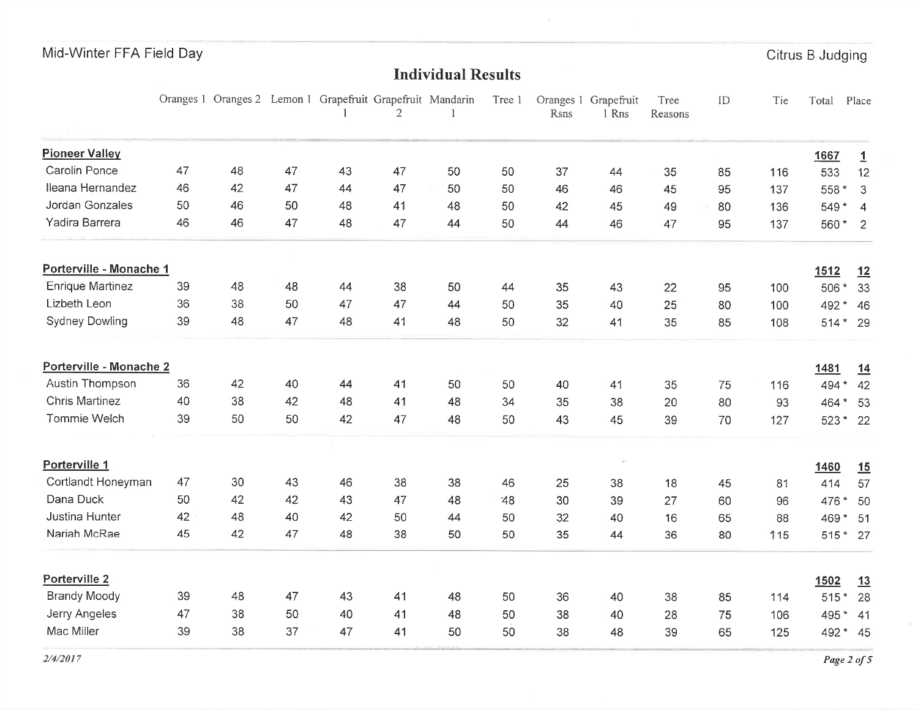Citrus B Judging

#### Individual Results

|                         |    | Oranges 1 Oranges 2 Lemon 1 Grapefruit Grapefruit Mandarin |    |    | $\overline{2}$ |    | Tree 1 | Rsns | Oranges 1 Grapefruit<br>1 Rns | Tree<br>Reasons | ID | Tie | Total    | Place          |
|-------------------------|----|------------------------------------------------------------|----|----|----------------|----|--------|------|-------------------------------|-----------------|----|-----|----------|----------------|
| <b>Pioneer Valley</b>   |    |                                                            |    |    |                |    |        |      |                               |                 |    |     | 1667     | $\overline{1}$ |
| Carolin Ponce           | 47 | 48                                                         | 47 | 43 | 47             | 50 | 50     | 37   | 44                            | 35              | 85 | 116 | 533      | 12             |
| Ileana Hernandez        | 46 | 42                                                         | 47 | 44 | 47             | 50 | 50     | 46   | 46                            | 45              | 95 | 137 | 558 *    | 3              |
| Jordan Gonzales         | 50 | 46                                                         | 50 | 48 | 41             | 48 | 50     | 42   | 45                            | 49              | 80 | 136 | 549 * 4  |                |
| Yadira Barrera          | 46 | 46                                                         | 47 | 48 | 47             | 44 | 50     | 44   | 46                            | 47              | 95 | 137 | 560 * 2  |                |
| Porterville - Monache 1 |    |                                                            |    |    |                |    |        |      |                               |                 |    |     | 1512     | 12             |
| <b>Enrique Martinez</b> | 39 | 48                                                         | 48 | 44 | 38             | 50 | 44     | 35   | 43                            | 22              | 95 | 100 | 506 *    | 33             |
| Lizbeth Leon            | 36 | 38                                                         | 50 | 47 | 47             | 44 | 50     | 35   | 40                            | 25              | 80 | 100 | 492 * 46 |                |
| <b>Sydney Dowling</b>   | 39 | 48                                                         | 47 | 48 | 41             | 48 | 50     | 32   | 41                            | 35              | 85 | 108 | 514 * 29 |                |
| Porterville - Monache 2 |    |                                                            |    |    |                |    |        |      |                               |                 |    |     | 1481     | 14             |
| Austin Thompson         | 36 | 42                                                         | 40 | 44 | 41             | 50 | 50     | 40   | 41                            | 35              | 75 | 116 | 494 *    | 42             |
| <b>Chris Martinez</b>   | 40 | 38                                                         | 42 | 48 | 41             | 48 | 34     | 35   | 38                            | 20              | 80 | 93  | 464 *    | 53             |
| Tommie Welch            | 39 | 50                                                         | 50 | 42 | 47             | 48 | 50     | 43   | 45                            | 39              | 70 | 127 | $523*$   | 22             |
| Porterville 1           |    |                                                            |    |    |                |    |        |      |                               |                 |    |     | 1460     | 15             |
| Cortlandt Honeyman      | 47 | 30                                                         | 43 | 46 | 38             | 38 | 46     | 25   | 38                            | 18              | 45 | 81  | 414      | 57             |
| Dana Duck               | 50 | 42                                                         | 42 | 43 | 47             | 48 | 48     | 30   | 39                            | 27              | 60 | 96  | 476 *    | 50             |
| Justina Hunter          | 42 | 48                                                         | 40 | 42 | 50             | 44 | 50     | 32   | 40                            | 16              | 65 | 88  | 469*     | 51             |
| Nariah McRae            | 45 | 42                                                         | 47 | 48 | 38             | 50 | 50     | 35   | 44                            | 36              | 80 | 115 | 515 * 27 |                |
| Porterville 2           |    |                                                            |    |    |                |    |        |      |                               |                 |    |     | 1502     | 13             |
| <b>Brandy Moody</b>     | 39 | 48                                                         | 47 | 43 | 41             | 48 | 50     | 36   | 40                            | 38              | 85 | 114 | $515*$   | 28             |
| Jerry Angeles           | 47 | 38                                                         | 50 | 40 | 41             | 48 | 50     | 38   | 40                            | 28              | 75 | 106 | 495 *    | 41             |
| Mac Miller              | 39 | 38                                                         | 37 | 47 | 41             | 50 | 50     | 38   | 48                            | 39              | 65 | 125 | 492 * 45 |                |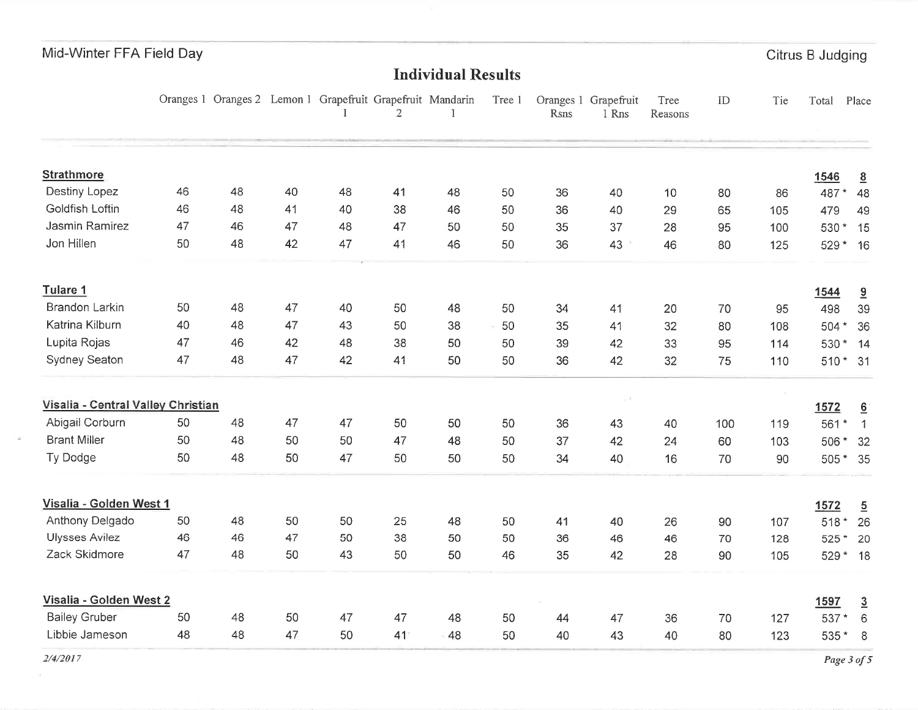| Mid-Winter FFA Field Day |  |  |  |
|--------------------------|--|--|--|
|--------------------------|--|--|--|

Citrus B Judging

## Individual Results

|                                    |    |    |    |    | Oranges 1 Oranges 2 Lemon 1 Grapefruit Grapefruit Mandarin<br>2 |    | Tree 1 | Rsns | Oranges 1 Grapefruit<br>1 Rns | Tree<br>Reasons | ID  | Tie | Total    | Place           |
|------------------------------------|----|----|----|----|-----------------------------------------------------------------|----|--------|------|-------------------------------|-----------------|-----|-----|----------|-----------------|
| <b>Strathmore</b>                  |    |    |    |    |                                                                 |    |        |      |                               |                 |     |     | 1546     | $\underline{8}$ |
| Destiny Lopez                      | 46 | 48 | 40 | 48 | 41                                                              | 48 | 50     | 36   | 40                            | 10              | 80  | 86  | 487*     | 48              |
| Goldfish Loftin                    | 46 | 48 | 41 | 40 | 38                                                              | 46 | 50     | 36   | 40                            | 29              | 65  | 105 | 479      | 49              |
| Jasmin Ramirez                     | 47 | 46 | 47 | 48 | 47                                                              | 50 | 50     | 35   | 37                            | 28              | 95  | 100 | 530 * 15 |                 |
| Jon Hillen                         | 50 | 48 | 42 | 47 | 41                                                              | 46 | 50     | 36   | 43                            | 46              | 80  | 125 | 529 * 16 |                 |
| Tulare 1                           |    |    |    |    |                                                                 |    |        |      |                               |                 |     |     | 1544     | 9               |
| Brandon Larkin                     | 50 | 48 | 47 | 40 | 50                                                              | 48 | 50     | 34   | 41                            | 20              | 70  | 95  | 498      | 39              |
| Katrina Kilburn                    | 40 | 48 | 47 | 43 | 50                                                              | 38 | 50     | 35   | 41                            | 32              | 80  | 108 | $504*$   | 36              |
| Lupita Rojas                       | 47 | 46 | 42 | 48 | 38                                                              | 50 | 50     | 39   | 42                            | 33              | 95  | 114 |          | 530 * 14        |
| Sydney Seaton                      | 47 | 48 | 47 | 42 | 41                                                              | 50 | 50     | 36   | 42                            | 32              | 75  | 110 | 510 * 31 |                 |
| Visalia - Central Valley Christian |    |    |    |    |                                                                 |    |        |      | $-719$                        |                 |     |     | 1572     | $\underline{6}$ |
| Abigail Corburn                    | 50 | 48 | 47 | 47 | 50                                                              | 50 | 50     | 36   | 43                            | 40              | 100 | 119 | 561*     | $\overline{1}$  |
| <b>Brant Miller</b>                | 50 | 48 | 50 | 50 | 47                                                              | 48 | 50     | 37   | 42                            | 24              | 60  | 103 | 506 * 32 |                 |
| Ty Dodge                           | 50 | 48 | 50 | 47 | 50                                                              | 50 | 50     | 34   | 40                            | 16              | 70  | 90  |          | 505 * 35        |
| Visalia - Golden West 1            |    |    |    |    |                                                                 |    |        |      |                               |                 |     |     | 1572     | $\overline{5}$  |
| Anthony Delgado                    | 50 | 48 | 50 | 50 | 25                                                              | 48 | 50     | 41   | 40                            | 26              | 90  | 107 |          | 518 * 26        |
| <b>Ulysses Avilez</b>              | 46 | 46 | 47 | 50 | 38                                                              | 50 | 50     | 36   | 46                            | 46              | 70  | 128 | 525 *    | 20              |
| Zack Skidmore                      | 47 | 48 | 50 | 43 | 50                                                              | 50 | 46     | 35   | 42                            | 28              | 90  | 105 |          | 529 * 18        |
| Visalia - Golden West 2            |    |    |    |    |                                                                 |    |        |      |                               |                 |     |     | 1597     | $\overline{3}$  |
| <b>Bailey Gruber</b>               | 50 | 48 | 50 | 47 | 47                                                              | 48 | 50     | 44   | 47                            | 36              | 70  | 127 | 537*     | 6               |
| Libbie Jameson                     | 48 | 48 | 47 | 50 | 41                                                              | 48 | 50     | 40   | 43                            | 40              | 80  | 123 | $535*8$  |                 |

 $\hat{\sigma}$ 

Page of the state of the state of the state of the state of the state of the state of the state of the state of the state of the state of the state of the state of the state of the state of the state of the state of the st  $e 3 of 5$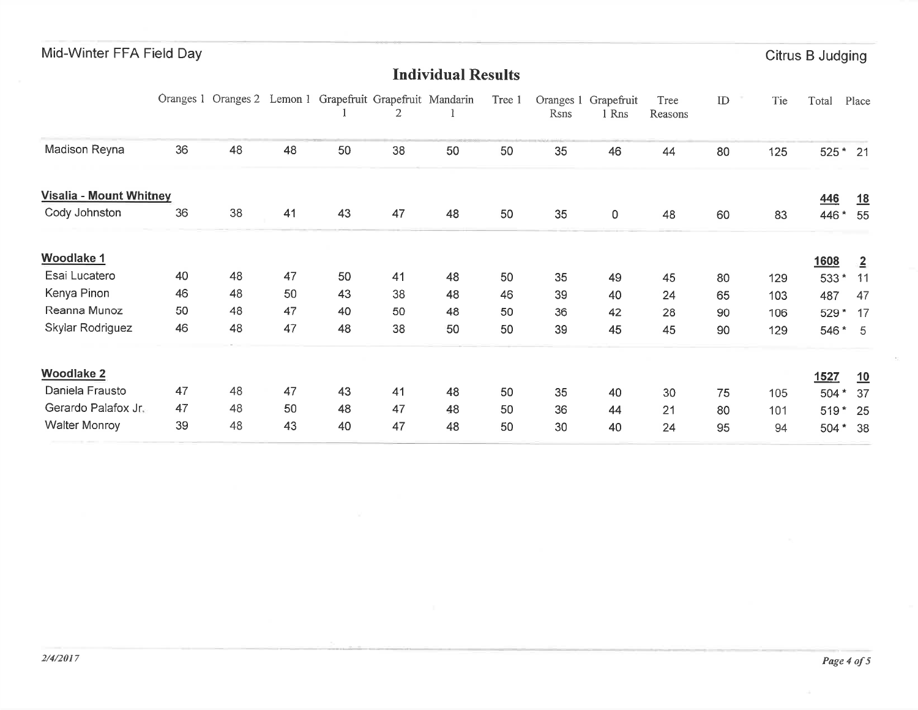| Mid-Winter FFA Field Day |    |    |    |                                                            |    |                           |        |      |                               |                 |               |     | Citrus B Judging |                |
|--------------------------|----|----|----|------------------------------------------------------------|----|---------------------------|--------|------|-------------------------------|-----------------|---------------|-----|------------------|----------------|
|                          |    |    |    |                                                            |    | <b>Individual Results</b> |        |      |                               |                 |               |     |                  |                |
|                          |    |    |    | Oranges 1 Oranges 2 Lemon 1 Grapefruit Grapefruit Mandarin | 2  |                           | Tree 1 | Rsns | Oranges 1 Grapefruit<br>1 Rns | Tree<br>Reasons | $\mathbf{ID}$ | Tie | Total            | Place          |
| Madison Reyna            | 36 | 48 | 48 | 50                                                         | 38 | 50                        | 50     | 35   | 46                            | 44              | 80            | 125 | 525 * 21         |                |
| Visalia - Mount Whitney  |    |    |    |                                                            |    |                           |        |      |                               |                 |               |     | <u>446</u>       | <u>18</u>      |
| Cody Johnston            | 36 | 38 | 41 | 43                                                         | 47 | 48                        | 50     | 35   | $\pmb{0}$                     | 48              | 60            | 83  | 446 *            | 55             |
| <b>Woodlake 1</b>        |    |    |    |                                                            |    |                           |        |      |                               |                 |               |     | 1608             | $\overline{2}$ |
| Esai Lucatero            | 40 | 48 | 47 | 50                                                         | 41 | 48                        | 50     | 35   | 49                            | 45              | 80            | 129 | 533*             | 11             |
| Kenya Pinon              | 46 | 48 | 50 | 43                                                         | 38 | 48                        | 46     | 39   | 40                            | 24              | 65            | 103 | 487              | 47             |
| Reanna Munoz             | 50 | 48 | 47 | 40                                                         | 50 | 48                        | 50     | 36   | 42                            | 28              | 90            | 106 | 529*             | 17             |
| Skylar Rodriguez         | 46 | 48 | 47 | 48                                                         | 38 | 50                        | 50     | 39   | 45                            | 45              | 90            | 129 | 546 * 5          |                |
| <b>Woodlake 2</b>        |    |    |    |                                                            |    |                           |        |      |                               |                 |               |     | 1527             | 10             |
| Daniela Frausto          | 47 | 48 | 47 | 43                                                         | 41 | 48                        | 50     | 35   | 40                            | 30              | 75            | 105 | 504 *            | 37             |
| Gerardo Palafox Jr.      | 47 | 48 | 50 | 48                                                         | 47 | 48                        | 50     | 36   | 44                            | 21              | 80            | 101 | $519*$           | 25             |
| <b>Walter Monroy</b>     | 39 | 48 | 43 | 40                                                         | 47 | 48                        | 50     | 30   | 40                            | 24              | 95            | 94  | $504*$           | 38             |

 $\mathcal{M}$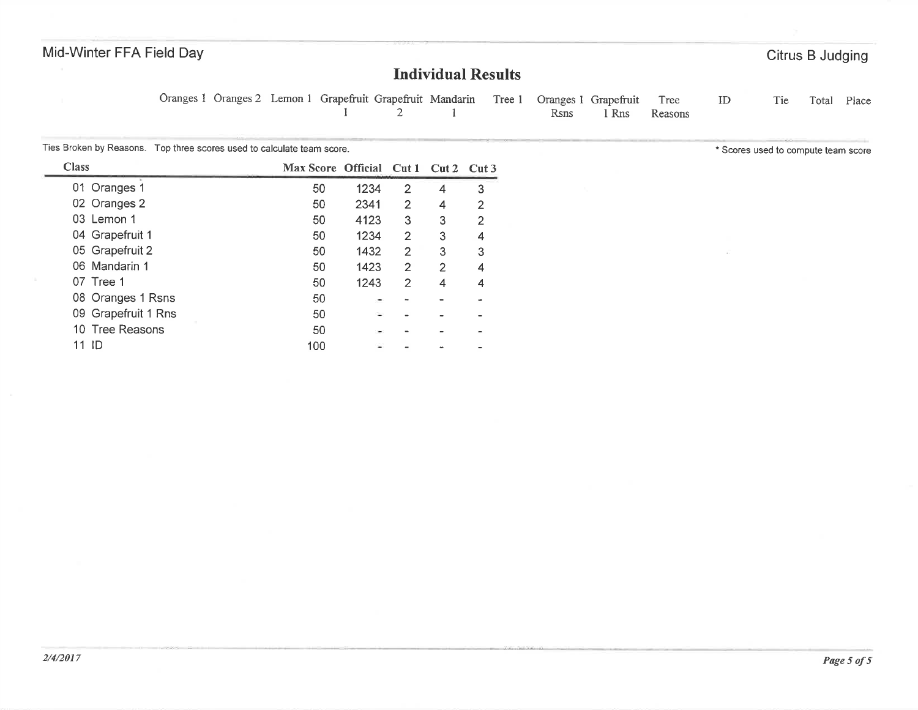#### Individual Results

Oranges I Oranges 2 Lemon I Grapefruit Grapefruit Mandarin Tree I $\frac{1}{2}$   $\frac{1}{1}$ Oranges I Grapefruit1 Rns ID Tie Total Place TreeReasons

Ties Broken by Reasons. Top three scores used to calculate team score.

| <b>Class</b>        | Max Score Official Cut 1 Cut 2 |      |                |   | Cut3 |
|---------------------|--------------------------------|------|----------------|---|------|
| 01 Oranges 1        | 50                             | 1234 | $\overline{2}$ | 4 | 3    |
| 02 Oranges 2        | 50                             | 2341 | $\overline{2}$ | 4 | 2    |
| 03 Lemon 1          | 50                             | 4123 | 3              | 3 | 2    |
| 04 Grapefruit 1     | 50                             | 1234 | 2              | 3 | 4    |
| 05 Grapefruit 2     | 50                             | 1432 | 2              | 3 | 3    |
| 06 Mandarin 1       | 50                             | 1423 | $\overline{2}$ | 2 | 4    |
| 07 Tree 1           | 50                             | 1243 | 2              |   |      |
| 08 Oranges 1 Rsns   | 50                             |      |                |   |      |
| 09 Grapefruit 1 Rns | 50                             |      |                |   |      |
| 10 Tree Reasons     | 50                             |      |                |   |      |
| 11 ID               | 100                            |      |                |   |      |

" Scores used to compute team score

Citrus B Judging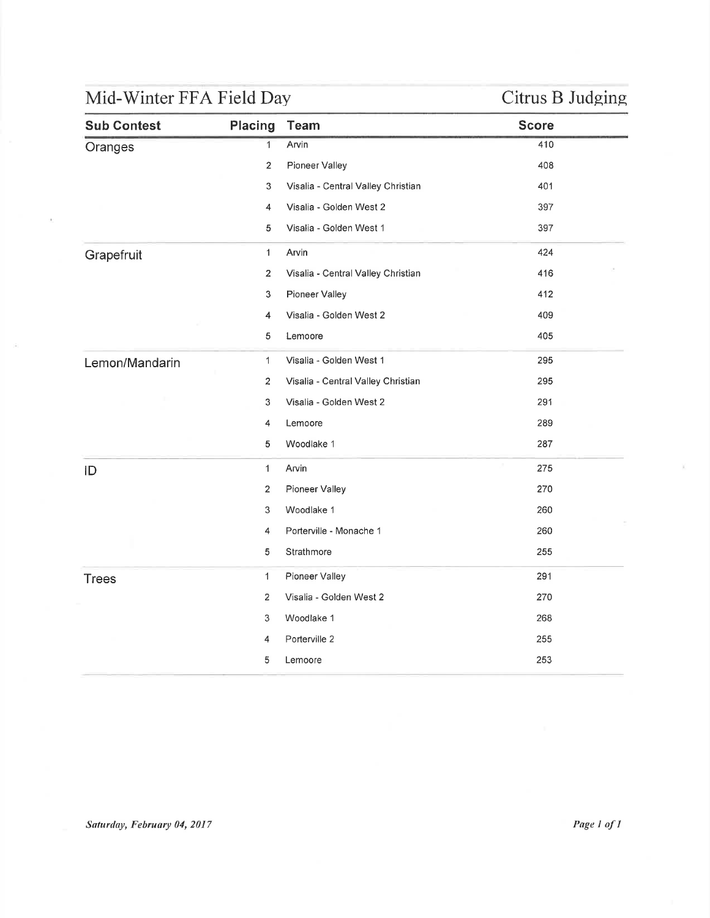# Mid-Winter FFA Field Day Citrus B Judging

| <b>Sub Contest</b> | Placing        | <b>Team</b>                        | <b>Score</b> |
|--------------------|----------------|------------------------------------|--------------|
| Oranges            | $\mathbf{1}$   | Arvin                              | 410          |
|                    | $\overline{2}$ | Pioneer Valley                     | 408          |
|                    | 3              | Visalia - Central Valley Christian | 401          |
|                    | 4              | Visalia - Golden West 2            | 397          |
|                    | 5              | Visalia - Golden West 1            | 397          |
| Grapefruit         | $\mathbf{1}$   | Arvin                              | 424          |
|                    | $\overline{2}$ | Visalia - Central Valley Christian | 416          |
|                    | 3              | Pioneer Valley                     | 412          |
|                    | 4              | Visalia - Golden West 2            | 409          |
|                    | 5              | Lemoore                            | 405          |
| Lemon/Mandarin     | $\mathbf 1$    | Visalia - Golden West 1            | 295          |
|                    | 2              | Visalia - Central Valley Christian | 295          |
|                    | 3              | Visalia - Golden West 2            | 291          |
|                    | 4              | Lemoore                            | 289          |
|                    | 5              | Woodlake 1                         | 287          |
| ID                 | 1              | Arvin                              | 275          |
|                    | $\sqrt{2}$     | Pioneer Valley                     | 270          |
|                    | 3              | Woodlake 1                         | 260          |
|                    | $\overline{4}$ | Porterville - Monache 1            | 260          |
|                    | 5              | Strathmore                         | 255          |
| <b>Trees</b>       | 1              | Pioneer Valley                     | 291          |
|                    | $\overline{2}$ | Visalia - Golden West 2            | 270          |
|                    | 3              | Woodlake 1                         | 268          |
|                    | 4              | Porterville 2                      | 255          |
|                    | 5              | Lemoore                            | 253          |
|                    |                |                                    |              |